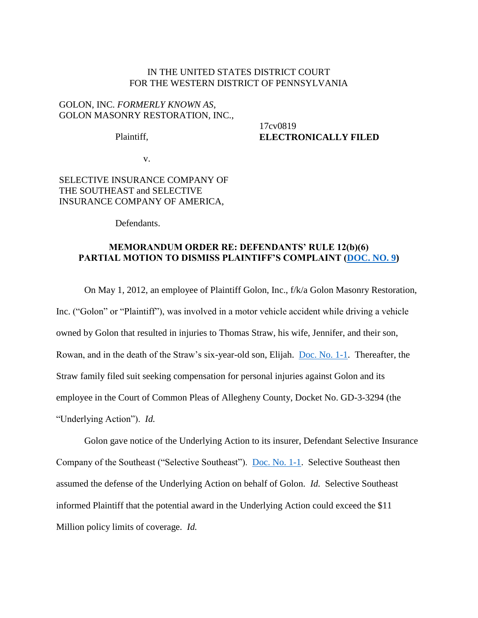### IN THE UNITED STATES DISTRICT COURT FOR THE WESTERN DISTRICT OF PENNSYLVANIA

## GOLON, INC. *FORMERLY KNOWN AS*, GOLON MASONRY RESTORATION, INC.,

Plaintiff,

17cv0819 **ELECTRONICALLY FILED**

v.

# SELECTIVE INSURANCE COMPANY OF THE SOUTHEAST and SELECTIVE INSURANCE COMPANY OF AMERICA,

Defendants.

## **MEMORANDUM ORDER RE: DEFENDANTS' RULE 12(b)(6) PARTIAL MOTION TO DISMISS PLAINTIFF'S COMPLAINT [\(DOC. NO. 9\)](https://ecf.pawd.uscourts.gov/doc1/15715764808)**

On May 1, 2012, an employee of Plaintiff Golon, Inc., f/k/a Golon Masonry Restoration, Inc. ("Golon" or "Plaintiff"), was involved in a motor vehicle accident while driving a vehicle owned by Golon that resulted in injuries to Thomas Straw, his wife, Jennifer, and their son, Rowan, and in the death of the Straw's six-year-old son, Elijah. [Doc. No. 1-1.](https://ecf.pawd.uscourts.gov/doc1/15715753800) Thereafter, the Straw family filed suit seeking compensation for personal injuries against Golon and its employee in the Court of Common Pleas of Allegheny County, Docket No. GD-3-3294 (the "Underlying Action"). *Id.*

Golon gave notice of the Underlying Action to its insurer, Defendant Selective Insurance Company of the Southeast ("Selective Southeast"). [Doc. No. 1-1.](https://ecf.pawd.uscourts.gov/doc1/15715753800) Selective Southeast then assumed the defense of the Underlying Action on behalf of Golon. *Id.* Selective Southeast informed Plaintiff that the potential award in the Underlying Action could exceed the \$11 Million policy limits of coverage. *Id.*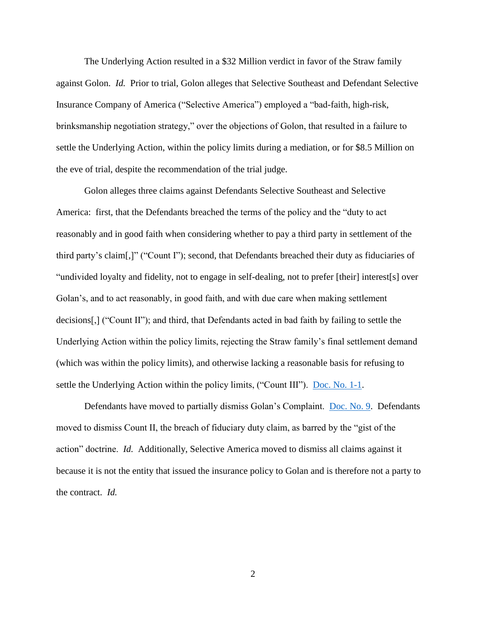The Underlying Action resulted in a \$32 Million verdict in favor of the Straw family against Golon. *Id.* Prior to trial, Golon alleges that Selective Southeast and Defendant Selective Insurance Company of America ("Selective America") employed a "bad-faith, high-risk, brinksmanship negotiation strategy," over the objections of Golon, that resulted in a failure to settle the Underlying Action, within the policy limits during a mediation, or for \$8.5 Million on the eve of trial, despite the recommendation of the trial judge.

Golon alleges three claims against Defendants Selective Southeast and Selective America: first, that the Defendants breached the terms of the policy and the "duty to act reasonably and in good faith when considering whether to pay a third party in settlement of the third party's claim[,]" ("Count I"); second, that Defendants breached their duty as fiduciaries of "undivided loyalty and fidelity, not to engage in self-dealing, not to prefer [their] interest[s] over Golan's, and to act reasonably, in good faith, and with due care when making settlement decisions[,] ("Count II"); and third, that Defendants acted in bad faith by failing to settle the Underlying Action within the policy limits, rejecting the Straw family's final settlement demand (which was within the policy limits), and otherwise lacking a reasonable basis for refusing to settle the Underlying Action within the policy limits, ("Count III"). [Doc. No. 1-1.](https://ecf.pawd.uscourts.gov/doc1/15715753800)

Defendants have moved to partially dismiss Golan's Complaint. [Doc. No. 9.](https://ecf.pawd.uscourts.gov/doc1/15715764808) Defendants moved to dismiss Count II, the breach of fiduciary duty claim, as barred by the "gist of the action" doctrine. *Id.* Additionally, Selective America moved to dismiss all claims against it because it is not the entity that issued the insurance policy to Golan and is therefore not a party to the contract. *Id.* 

2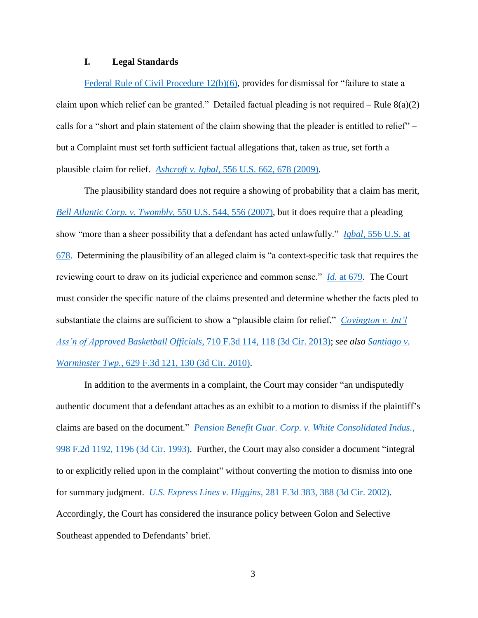## **I. Legal Standards**

[Federal Rule of Civil Procedure 12\(b\)\(6\),](http://www.westlaw.com/Find/default.wl?rs=kmfn4.8&vr=2.0&kmvr=2.6&FindType=L&DB=1000600&DocName=USFRCPR12&kmsource=da3.0) provides for dismissal for "failure to state a claim upon which relief can be granted." Detailed factual pleading is not required – Rule  $8(a)(2)$ calls for a "short and plain statement of the claim showing that the pleader is entitled to relief" – but a Complaint must set forth sufficient factual allegations that, taken as true, set forth a plausible claim for relief. *Ashcroft v. Iqbal*[, 556 U.S. 662, 678 \(2009\).](http://www.westlaw.com/Find/default.wl?rs=kmfn4.8&vr=2.0&kmvr=2.6&FindType=Y&DB=0000780&serialnum=2018848474&kmsource=da3.0)

The plausibility standard does not require a showing of probability that a claim has merit, *[Bell Atlantic Corp. v. Twombly](http://www.westlaw.com/Find/default.wl?rs=kmfn4.8&vr=2.0&kmvr=2.6&FindType=Y&DB=0000780&serialnum=2012293296&kmsource=da3.0)*, 550 U.S. 544, 556 (2007), but it does require that a pleading show "more than a sheer possibility that a defendant has acted unlawfully." *Iqbal*[, 556 U.S. at](http://www.westlaw.com/Find/default.wl?rs=kmfn4.8&vr=2.0&kmvr=2.6&FindType=Y&DB=0000780&serialnum=2018848474&kmsource=da3.0)  [678.](http://www.westlaw.com/Find/default.wl?rs=kmfn4.8&vr=2.0&kmvr=2.6&FindType=Y&DB=0000780&serialnum=2018848474&kmsource=da3.0) Determining the plausibility of an alleged claim is "a context-specific task that requires the reviewing court to draw on its judicial experience and common sense." *Id.* [at 679.](http://www.westlaw.com/Find/default.wl?rs=kmfn4.8&vr=2.0&kmvr=2.6&FindType=Y&DB=0000780&serialnum=2018848474&kmsource=da3.0) The Court must consider the specific nature of the claims presented and determine whether the facts pled to substantiate the claims are sufficient to show a "plausible claim for relief." *[Covington v. Int'l](http://www.westlaw.com/Find/default.wl?rs=kmfn4.8&vr=2.0&kmvr=2.6&FindType=Y&DB=0000506&serialnum=2030133352&kmsource=da3.0)  [Ass'n of Approved Basketball Officials](http://www.westlaw.com/Find/default.wl?rs=kmfn4.8&vr=2.0&kmvr=2.6&FindType=Y&DB=0000506&serialnum=2030133352&kmsource=da3.0)*, 710 F.3d 114, 118 (3d Cir. 2013); *see also [Santiago v.](http://www.westlaw.com/Find/default.wl?rs=kmfn4.8&vr=2.0&kmvr=2.6&FindType=Y&DB=0000506&serialnum=2024069362&kmsource=da3.0)  Warminster Twp.*[, 629 F.3d 121, 130 \(3d Cir. 2010\).](http://www.westlaw.com/Find/default.wl?rs=kmfn4.8&vr=2.0&kmvr=2.6&FindType=Y&DB=0000506&serialnum=2024069362&kmsource=da3.0)

In addition to the averments in a complaint, the Court may consider "an undisputedly authentic document that a defendant attaches as an exhibit to a motion to dismiss if the plaintiff's claims are based on the document." *[Pension Benefit Guar. Corp. v. White Consolidated Indus.](http://www.westlaw.com/Find/default.wl?rs=kmfn4.8&vr=2.0&kmvr=2.6&FindType=Y&DB=0000350&serialnum=1993132632&kmsource=da3.0)*, [998 F.2d 1192, 1196 \(3d Cir. 1993\).](http://www.westlaw.com/Find/default.wl?rs=kmfn4.8&vr=2.0&kmvr=2.6&FindType=Y&DB=0000350&serialnum=1993132632&kmsource=da3.0) Further, the Court may also consider a document "integral to or explicitly relied upon in the complaint" without converting the motion to dismiss into one for summary judgment. *U.S. Express Lines v. Higgins,* [281 F.3d 383, 388 \(3d Cir. 2002\).](http://www.westlaw.com/Find/default.wl?rs=kmfn4.8&vr=2.0&kmvr=2.6&FindType=Y&DB=0000506&serialnum=2002130973&kmsource=da3.0) Accordingly, the Court has considered the insurance policy between Golon and Selective Southeast appended to Defendants' brief.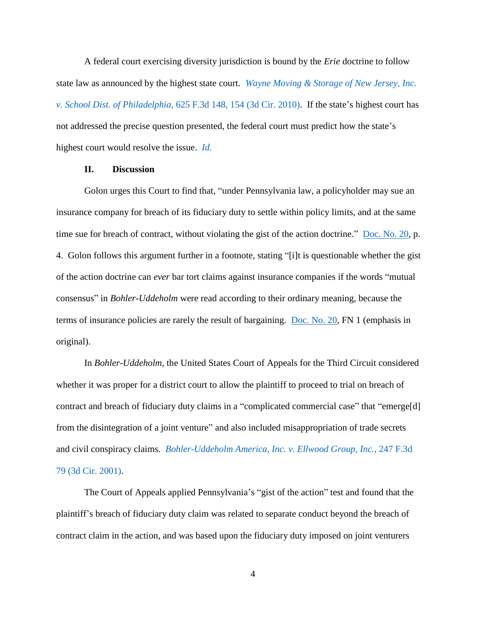A federal court exercising diversity jurisdiction is bound by the *Erie* doctrine to follow state law as announced by the highest state court. *[Wayne Moving & Storage of New Jersey, Inc.](http://www.westlaw.com/Find/default.wl?rs=kmfn4.8&vr=2.0&kmvr=2.6&FindType=Y&DB=0000506&serialnum=2023525046&kmsource=da3.0)  v. School Dist. of Philadelphia*[, 625 F.3d 148, 154 \(3d Cir. 2010\).](http://www.westlaw.com/Find/default.wl?rs=kmfn4.8&vr=2.0&kmvr=2.6&FindType=Y&DB=0000506&serialnum=2023525046&kmsource=da3.0) If the state's highest court has not addressed the precise question presented, the federal court must predict how the state's highest court would resolve the issue. *[Id.](http://www.westlaw.com/Find/default.wl?rs=kmfn4.8&vr=2.0&kmvr=2.6&FindType=Y&DB=0000506&serialnum=2023525046&kmsource=da3.0)*

#### **II. Discussion**

Golon urges this Court to find that, "under Pennsylvania law, a policyholder may sue an insurance company for breach of its fiduciary duty to settle within policy limits, and at the same time sue for breach of contract, without violating the gist of the action doctrine." [Doc. No. 20,](https://ecf.pawd.uscourts.gov/doc1/15715788610) p. 4. Golon follows this argument further in a footnote, stating "[i]t is questionable whether the gist of the action doctrine can *ever* bar tort claims against insurance companies if the words "mutual consensus" in *Bohler-Uddeholm* were read according to their ordinary meaning, because the terms of insurance policies are rarely the result of bargaining. [Doc. No. 20,](https://ecf.pawd.uscourts.gov/doc1/15715788610) FN 1 (emphasis in original).

In *Bohler-Uddeholm*, the United States Court of Appeals for the Third Circuit considered whether it was proper for a district court to allow the plaintiff to proceed to trial on breach of contract and breach of fiduciary duty claims in a "complicated commercial case" that "emerge[d] from the disintegration of a joint venture" and also included misappropriation of trade secrets and civil conspiracy claims. *[Bohler-Uddeholm America, Inc. v. Ellwood Group, Inc.](http://www.westlaw.com/Find/default.wl?rs=kmfn4.8&vr=2.0&kmvr=2.6&FindType=Y&DB=0000506&serialnum=2001305267&kmsource=da3.0)*, 247 F.3d [79 \(3d Cir. 2001\).](http://www.westlaw.com/Find/default.wl?rs=kmfn4.8&vr=2.0&kmvr=2.6&FindType=Y&DB=0000506&serialnum=2001305267&kmsource=da3.0)

The Court of Appeals applied Pennsylvania's "gist of the action" test and found that the plaintiff's breach of fiduciary duty claim was related to separate conduct beyond the breach of contract claim in the action, and was based upon the fiduciary duty imposed on joint venturers

4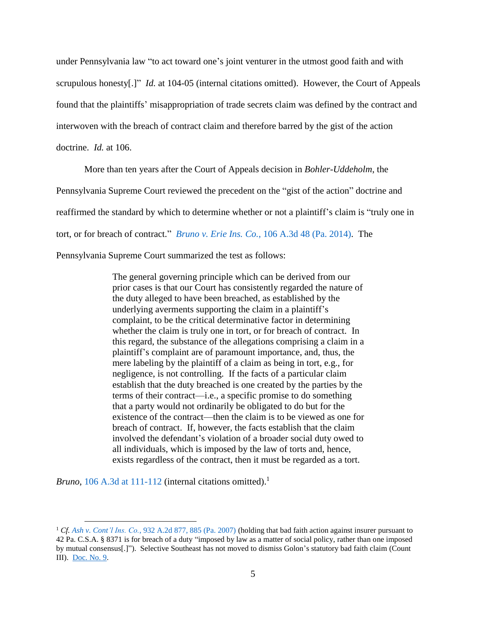under Pennsylvania law "to act toward one's joint venturer in the utmost good faith and with scrupulous honesty[.]" *Id.* at 104-05 (internal citations omitted). However, the Court of Appeals found that the plaintiffs' misappropriation of trade secrets claim was defined by the contract and interwoven with the breach of contract claim and therefore barred by the gist of the action doctrine. *Id.* at 106.

More than ten years after the Court of Appeals decision in *Bohler-Uddeholm*, the Pennsylvania Supreme Court reviewed the precedent on the "gist of the action" doctrine and reaffirmed the standard by which to determine whether or not a plaintiff's claim is "truly one in tort, or for breach of contract." *Bruno v. Erie Ins. Co.*[, 106 A.3d 48 \(Pa. 2014\).](http://www.westlaw.com/Find/default.wl?rs=kmfn4.8&vr=2.0&kmvr=2.6&FindType=Y&DB=0007691&serialnum=2034999361&kmsource=da3.0) The Pennsylvania Supreme Court summarized the test as follows:

> The general governing principle which can be derived from our prior cases is that our Court has consistently regarded the nature of the duty alleged to have been breached, as established by the underlying averments supporting the claim in a plaintiff's complaint, to be the critical determinative factor in determining whether the claim is truly one in tort, or for breach of contract. In this regard, the substance of the allegations comprising a claim in a plaintiff's complaint are of paramount importance, and, thus, the mere labeling by the plaintiff of a claim as being in tort, e.g., for negligence, is not controlling. If the facts of a particular claim establish that the duty breached is one created by the parties by the terms of their contract—i.e., a specific promise to do something that a party would not ordinarily be obligated to do but for the existence of the contract—then the claim is to be viewed as one for breach of contract. If, however, the facts establish that the claim involved the defendant's violation of a broader social duty owed to all individuals, which is imposed by the law of torts and, hence, exists regardless of the contract, then it must be regarded as a tort.

*Bruno*, [106 A.3d at 111-112](http://www.westlaw.com/Find/default.wl?rs=kmfn4.8&vr=2.0&kmvr=2.6&FindType=Y&DB=0007691&serialnum=2034829939&kmsource=da3.0) (internal citations omitted). 1

 $\overline{a}$ 

<sup>1</sup> *Cf. Ash v. Cont'l Ins. Co.*[, 932 A.2d 877, 885 \(Pa. 2007\)](http://www.westlaw.com/Find/default.wl?rs=kmfn4.8&vr=2.0&kmvr=2.6&FindType=Y&DB=0000162&serialnum=2013614813&kmsource=da3.0) (holding that bad faith action against insurer pursuant to 42 Pa. C.S.A. § 8371 is for breach of a duty "imposed by law as a matter of social policy, rather than one imposed by mutual consensus[.]"). Selective Southeast has not moved to dismiss Golon's statutory bad faith claim (Count III). [Doc. No. 9.](https://ecf.pawd.uscourts.gov/doc1/15715764808)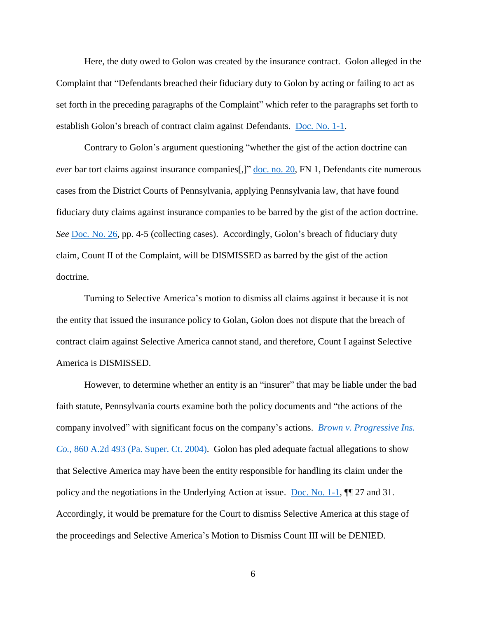Here, the duty owed to Golon was created by the insurance contract. Golon alleged in the Complaint that "Defendants breached their fiduciary duty to Golon by acting or failing to act as set forth in the preceding paragraphs of the Complaint" which refer to the paragraphs set forth to establish Golon's breach of contract claim against Defendants. [Doc. No. 1-1.](https://ecf.pawd.uscourts.gov/doc1/15715753800)

Contrary to Golon's argument questioning "whether the gist of the action doctrine can *ever* bar tort claims against insurance companies[,]" <u>doc. no. 20</u>, FN 1, Defendants cite numerous cases from the District Courts of Pennsylvania, applying Pennsylvania law, that have found fiduciary duty claims against insurance companies to be barred by the gist of the action doctrine. *See* [Doc. No. 26,](https://ecf.pawd.uscourts.gov/doc1/15715791612) pp. 4-5 (collecting cases). Accordingly, Golon's breach of fiduciary duty claim, Count II of the Complaint, will be DISMISSED as barred by the gist of the action doctrine.

Turning to Selective America's motion to dismiss all claims against it because it is not the entity that issued the insurance policy to Golan, Golon does not dispute that the breach of contract claim against Selective America cannot stand, and therefore, Count I against Selective America is DISMISSED.

However, to determine whether an entity is an "insurer" that may be liable under the bad faith statute, Pennsylvania courts examine both the policy documents and "the actions of the company involved" with significant focus on the company's actions. *[Brown v. Progressive Ins.](http://www.westlaw.com/Find/default.wl?rs=kmfn4.8&vr=2.0&kmvr=2.6&FindType=Y&DB=0000162&serialnum=2004223091&kmsource=da3.0)  Co.*[, 860 A.2d 493 \(Pa. Super. Ct. 2004\).](http://www.westlaw.com/Find/default.wl?rs=kmfn4.8&vr=2.0&kmvr=2.6&FindType=Y&DB=0000162&serialnum=2004223091&kmsource=da3.0) Golon has pled adequate factual allegations to show that Selective America may have been the entity responsible for handling its claim under the policy and the negotiations in the Underlying Action at issue. [Doc. No. 1-1,](https://ecf.pawd.uscourts.gov/doc1/15715753800)  $\P$  27 and 31. Accordingly, it would be premature for the Court to dismiss Selective America at this stage of the proceedings and Selective America's Motion to Dismiss Count III will be DENIED.

6